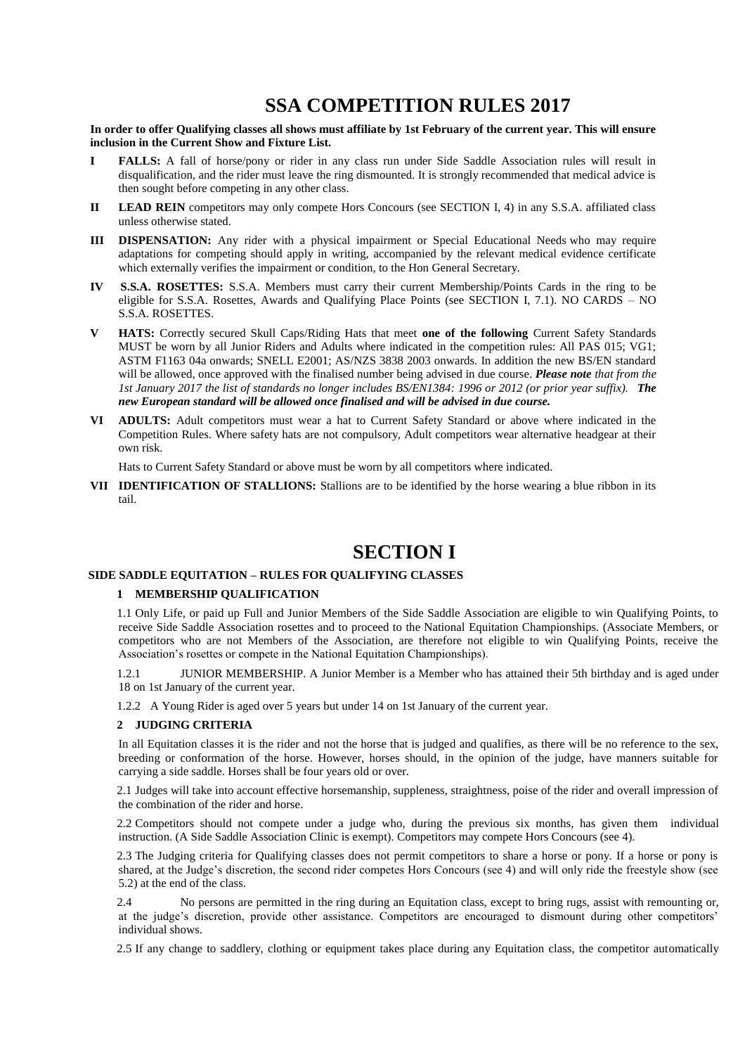# **SSA COMPETITION RULES 2017**

**In order to offer Qualifying classes all shows must affiliate by 1st February of the current year. This will ensure inclusion in the Current Show and Fixture List.**

- **I FALLS:** A fall of horse/pony or rider in any class run under Side Saddle Association rules will result in disqualification, and the rider must leave the ring dismounted. It is strongly recommended that medical advice is then sought before competing in any other class.
- **II LEAD REIN** competitors may only compete Hors Concours (see SECTION I, 4) in any S.S.A. affiliated class unless otherwise stated.
- **III DISPENSATION:** Any rider with a physical impairment or Special Educational Needs who may require adaptations for competing should apply in writing, accompanied by the relevant medical evidence certificate which externally verifies the impairment or condition, to the Hon General Secretary.
- **IV S.S.A. ROSETTES:** S.S.A. Members must carry their current Membership/Points Cards in the ring to be eligible for S.S.A. Rosettes, Awards and Qualifying Place Points (see SECTION I, 7.1). NO CARDS – NO S.S.A. ROSETTES.
- **V HATS:** Correctly secured Skull Caps/Riding Hats that meet **one of the following** Current Safety Standards MUST be worn by all Junior Riders and Adults where indicated in the competition rules: All PAS 015; VG1; ASTM F1163 04a onwards; SNELL E2001; AS/NZS 3838 2003 onwards. In addition the new BS/EN standard will be allowed, once approved with the finalised number being advised in due course. *Please note that from the 1st January 2017 the list of standards no longer includes BS/EN1384: 1996 or 2012 (or prior year suffix). The new European standard will be allowed once finalised and will be advised in due course.*
- **VI ADULTS:** Adult competitors must wear a hat to Current Safety Standard or above where indicated in the Competition Rules. Where safety hats are not compulsory, Adult competitors wear alternative headgear at their own risk.

Hats to Current Safety Standard or above must be worn by all competitors where indicated.

**VII IDENTIFICATION OF STALLIONS:** Stallions are to be identified by the horse wearing a blue ribbon in its tail.

# **SECTION I**

## **SIDE SADDLE EQUITATION – RULES FOR QUALIFYING CLASSES**

## **1 MEMBERSHIP QUALIFICATION**

1.1 Only Life, or paid up Full and Junior Members of the Side Saddle Association are eligible to win Qualifying Points, to receive Side Saddle Association rosettes and to proceed to the National Equitation Championships. (Associate Members, or competitors who are not Members of the Association, are therefore not eligible to win Qualifying Points, receive the Association's rosettes or compete in the National Equitation Championships).

1.2.1 JUNIOR MEMBERSHIP. A Junior Member is a Member who has attained their 5th birthday and is aged under 18 on 1st January of the current year.

1.2.2 A Young Rider is aged over 5 years but under 14 on 1st January of the current year.

## **2 JUDGING CRITERIA**

In all Equitation classes it is the rider and not the horse that is judged and qualifies, as there will be no reference to the sex, breeding or conformation of the horse. However, horses should, in the opinion of the judge, have manners suitable for carrying a side saddle. Horses shall be four years old or over.

2.1 Judges will take into account effective horsemanship, suppleness, straightness, poise of the rider and overall impression of the combination of the rider and horse.

2.2 Competitors should not compete under a judge who, during the previous six months, has given them individual instruction. (A Side Saddle Association Clinic is exempt). Competitors may compete Hors Concours (see 4).

2.3 The Judging criteria for Qualifying classes does not permit competitors to share a horse or pony. If a horse or pony is shared, at the Judge's discretion, the second rider competes Hors Concours (see 4) and will only ride the freestyle show (see 5.2) at the end of the class.

2.4 No persons are permitted in the ring during an Equitation class, except to bring rugs, assist with remounting or, at the judge's discretion, provide other assistance. Competitors are encouraged to dismount during other competitors' individual shows.

2.5 If any change to saddlery, clothing or equipment takes place during any Equitation class, the competitor automatically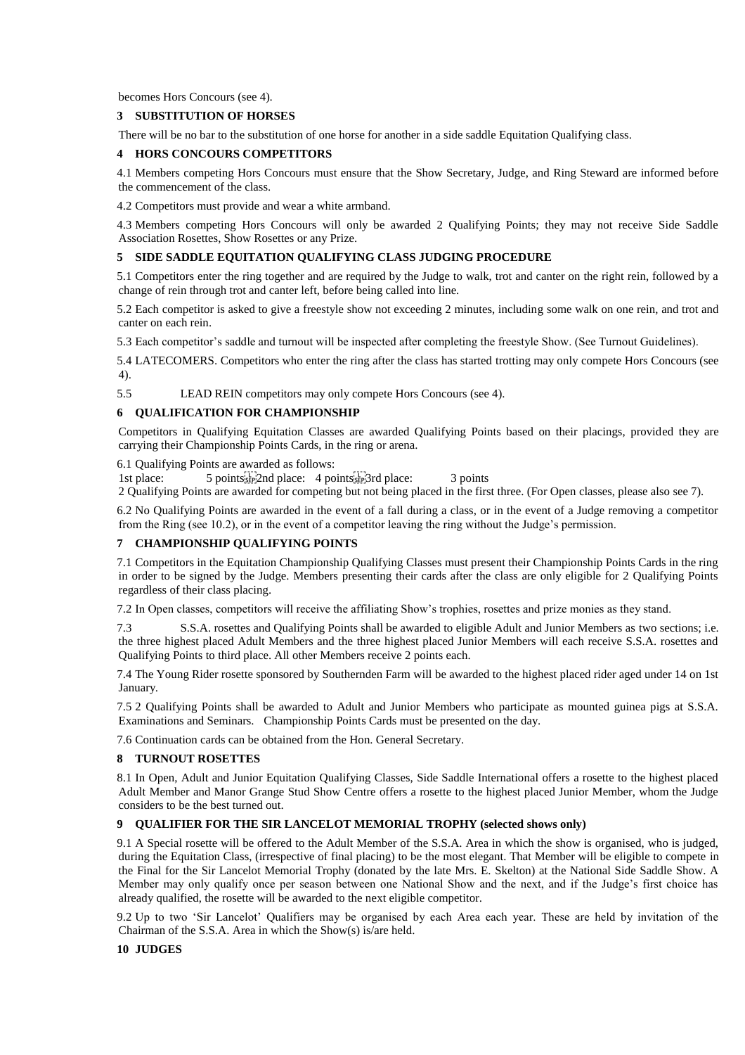becomes Hors Concours (see 4).

## **3 SUBSTITUTION OF HORSES**

There will be no bar to the substitution of one horse for another in a side saddle Equitation Qualifying class.

## **4 HORS CONCOURS COMPETITORS**

4.1 Members competing Hors Concours must ensure that the Show Secretary, Judge, and Ring Steward are informed before the commencement of the class.

4.2 Competitors must provide and wear a white armband.

4.3 Members competing Hors Concours will only be awarded 2 Qualifying Points; they may not receive Side Saddle Association Rosettes, Show Rosettes or any Prize.

## **5 SIDE SADDLE EQUITATION QUALIFYING CLASS JUDGING PROCEDURE**

5.1 Competitors enter the ring together and are required by the Judge to walk, trot and canter on the right rein, followed by a change of rein through trot and canter left, before being called into line.

5.2 Each competitor is asked to give a freestyle show not exceeding 2 minutes, including some walk on one rein, and trot and canter on each rein.

5.3 Each competitor's saddle and turnout will be inspected after completing the freestyle Show. (See Turnout Guidelines).

5.4 LATECOMERS. Competitors who enter the ring after the class has started trotting may only compete Hors Concours (see 4).

5.5 LEAD REIN competitors may only compete Hors Concours (see 4).

#### **6 QUALIFICATION FOR CHAMPIONSHIP**

Competitors in Qualifying Equitation Classes are awarded Qualifying Points based on their placings, provided they are carrying their Championship Points Cards, in the ring or arena.

6.1 Qualifying Points are awarded as follows:

1st place: 5 points steel? 3 points 5 points 5 points 5 points 5 points 3 points

2 Qualifying Points are awarded for competing but not being placed in the first three. (For Open classes, please also see 7).

6.2 No Qualifying Points are awarded in the event of a fall during a class, or in the event of a Judge removing a competitor from the Ring (see 10.2), or in the event of a competitor leaving the ring without the Judge's permission.

## **7 CHAMPIONSHIP QUALIFYING POINTS**

7.1 Competitors in the Equitation Championship Qualifying Classes must present their Championship Points Cards in the ring in order to be signed by the Judge. Members presenting their cards after the class are only eligible for 2 Qualifying Points regardless of their class placing.

7.2 In Open classes, competitors will receive the affiliating Show's trophies, rosettes and prize monies as they stand.

7.3 S.S.A. rosettes and Qualifying Points shall be awarded to eligible Adult and Junior Members as two sections; i.e. the three highest placed Adult Members and the three highest placed Junior Members will each receive S.S.A. rosettes and Qualifying Points to third place. All other Members receive 2 points each.

7.4 The Young Rider rosette sponsored by Southernden Farm will be awarded to the highest placed rider aged under 14 on 1st January.

7.5 2 Qualifying Points shall be awarded to Adult and Junior Members who participate as mounted guinea pigs at S.S.A. Examinations and Seminars. Championship Points Cards must be presented on the day.

7.6 Continuation cards can be obtained from the Hon. General Secretary.

## **8 TURNOUT ROSETTES**

8.1 In Open, Adult and Junior Equitation Qualifying Classes, Side Saddle International offers a rosette to the highest placed Adult Member and Manor Grange Stud Show Centre offers a rosette to the highest placed Junior Member, whom the Judge considers to be the best turned out.

## **9 QUALIFIER FOR THE SIR LANCELOT MEMORIAL TROPHY (selected shows only)**

9.1 A Special rosette will be offered to the Adult Member of the S.S.A. Area in which the show is organised, who is judged, during the Equitation Class, (irrespective of final placing) to be the most elegant. That Member will be eligible to compete in the Final for the Sir Lancelot Memorial Trophy (donated by the late Mrs. E. Skelton) at the National Side Saddle Show. A Member may only qualify once per season between one National Show and the next, and if the Judge's first choice has already qualified, the rosette will be awarded to the next eligible competitor.

9.2 Up to two 'Sir Lancelot' Qualifiers may be organised by each Area each year. These are held by invitation of the Chairman of the S.S.A. Area in which the Show(s) is/are held.

## **10 JUDGES**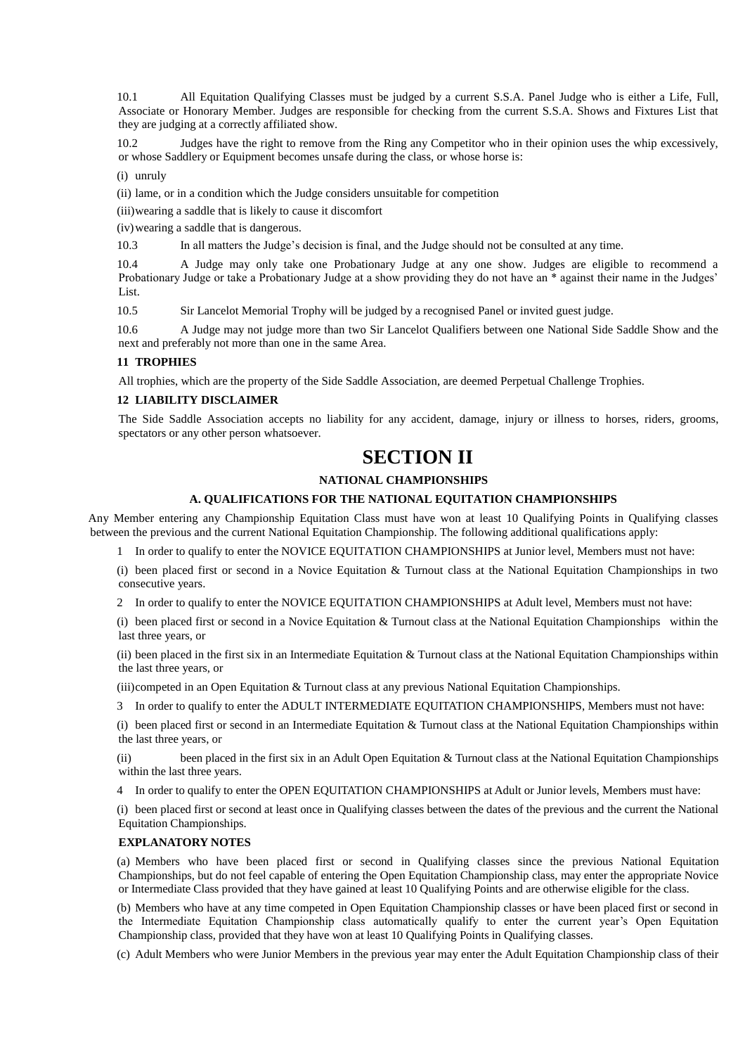10.1 All Equitation Qualifying Classes must be judged by a current S.S.A. Panel Judge who is either a Life, Full, Associate or Honorary Member. Judges are responsible for checking from the current S.S.A. Shows and Fixtures List that they are judging at a correctly affiliated show.

10.2 Judges have the right to remove from the Ring any Competitor who in their opinion uses the whip excessively, or whose Saddlery or Equipment becomes unsafe during the class, or whose horse is:

(i) unruly

(ii) lame, or in a condition which the Judge considers unsuitable for competition

(iii)wearing a saddle that is likely to cause it discomfort

(iv)wearing a saddle that is dangerous.

10.3 In all matters the Judge's decision is final, and the Judge should not be consulted at any time.

10.4 A Judge may only take one Probationary Judge at any one show. Judges are eligible to recommend a Probationary Judge or take a Probationary Judge at a show providing they do not have an \* against their name in the Judges' List.

10.5 Sir Lancelot Memorial Trophy will be judged by a recognised Panel or invited guest judge.

10.6 A Judge may not judge more than two Sir Lancelot Qualifiers between one National Side Saddle Show and the next and preferably not more than one in the same Area.

#### **11 TROPHIES**

All trophies, which are the property of the Side Saddle Association, are deemed Perpetual Challenge Trophies.

### **12 LIABILITY DISCLAIMER**

The Side Saddle Association accepts no liability for any accident, damage, injury or illness to horses, riders, grooms, spectators or any other person whatsoever.

## **SECTION II**

## **NATIONAL CHAMPIONSHIPS**

## **A. QUALIFICATIONS FOR THE NATIONAL EQUITATION CHAMPIONSHIPS**

Any Member entering any Championship Equitation Class must have won at least 10 Qualifying Points in Qualifying classes between the previous and the current National Equitation Championship. The following additional qualifications apply:

1 In order to qualify to enter the NOVICE EQUITATION CHAMPIONSHIPS at Junior level, Members must not have:

(i) been placed first or second in a Novice Equitation & Turnout class at the National Equitation Championships in two consecutive years.

2 In order to qualify to enter the NOVICE EQUITATION CHAMPIONSHIPS at Adult level, Members must not have:

(i) been placed first or second in a Novice Equitation & Turnout class at the National Equitation Championships within the last three years, or

(ii) been placed in the first six in an Intermediate Equitation & Turnout class at the National Equitation Championships within the last three years, or

(iii)competed in an Open Equitation & Turnout class at any previous National Equitation Championships.

3 In order to qualify to enter the ADULT INTERMEDIATE EQUITATION CHAMPIONSHIPS, Members must not have:

(i) been placed first or second in an Intermediate Equitation & Turnout class at the National Equitation Championships within the last three years, or

(ii) been placed in the first six in an Adult Open Equitation & Turnout class at the National Equitation Championships within the last three years.

4 In order to qualify to enter the OPEN EQUITATION CHAMPIONSHIPS at Adult or Junior levels, Members must have:

(i) been placed first or second at least once in Qualifying classes between the dates of the previous and the current the National Equitation Championships.

## **EXPLANATORY NOTES**

(a) Members who have been placed first or second in Qualifying classes since the previous National Equitation Championships, but do not feel capable of entering the Open Equitation Championship class, may enter the appropriate Novice or Intermediate Class provided that they have gained at least 10 Qualifying Points and are otherwise eligible for the class.

(b) Members who have at any time competed in Open Equitation Championship classes or have been placed first or second in the Intermediate Equitation Championship class automatically qualify to enter the current year's Open Equitation Championship class, provided that they have won at least 10 Qualifying Points in Qualifying classes.

(c) Adult Members who were Junior Members in the previous year may enter the Adult Equitation Championship class of their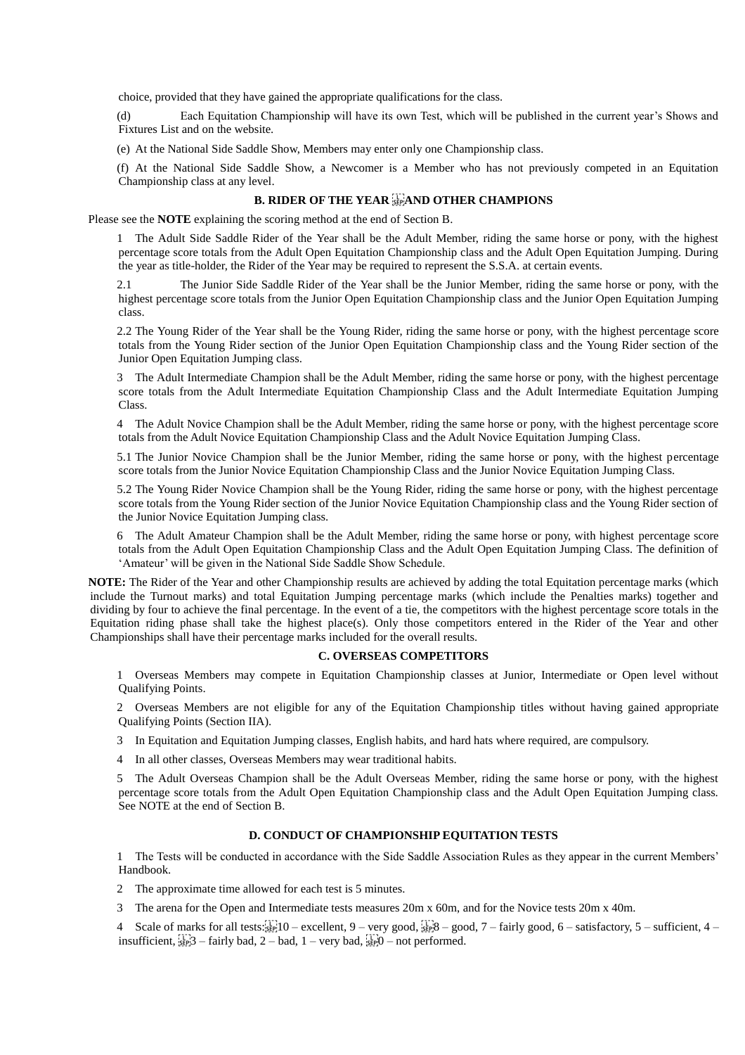choice, provided that they have gained the appropriate qualifications for the class.

(d) Each Equitation Championship will have its own Test, which will be published in the current year's Shows and Fixtures List and on the website.

(e) At the National Side Saddle Show, Members may enter only one Championship class.

(f) At the National Side Saddle Show, a Newcomer is a Member who has not previously competed in an Equitation Championship class at any level.

## **B. RIDER OF THE YEAR EPAND OTHER CHAMPIONS**

Please see the **NOTE** explaining the scoring method at the end of Section B.

1 The Adult Side Saddle Rider of the Year shall be the Adult Member, riding the same horse or pony, with the highest percentage score totals from the Adult Open Equitation Championship class and the Adult Open Equitation Jumping. During the year as title-holder, the Rider of the Year may be required to represent the S.S.A. at certain events.

2.1 The Junior Side Saddle Rider of the Year shall be the Junior Member, riding the same horse or pony, with the highest percentage score totals from the Junior Open Equitation Championship class and the Junior Open Equitation Jumping class.

2.2 The Young Rider of the Year shall be the Young Rider, riding the same horse or pony, with the highest percentage score totals from the Young Rider section of the Junior Open Equitation Championship class and the Young Rider section of the Junior Open Equitation Jumping class.

3 The Adult Intermediate Champion shall be the Adult Member, riding the same horse or pony, with the highest percentage score totals from the Adult Intermediate Equitation Championship Class and the Adult Intermediate Equitation Jumping Class.

4 The Adult Novice Champion shall be the Adult Member, riding the same horse or pony, with the highest percentage score totals from the Adult Novice Equitation Championship Class and the Adult Novice Equitation Jumping Class.

5.1 The Junior Novice Champion shall be the Junior Member, riding the same horse or pony, with the highest percentage score totals from the Junior Novice Equitation Championship Class and the Junior Novice Equitation Jumping Class.

5.2 The Young Rider Novice Champion shall be the Young Rider, riding the same horse or pony, with the highest percentage score totals from the Young Rider section of the Junior Novice Equitation Championship class and the Young Rider section of the Junior Novice Equitation Jumping class.

6 The Adult Amateur Champion shall be the Adult Member, riding the same horse or pony, with highest percentage score totals from the Adult Open Equitation Championship Class and the Adult Open Equitation Jumping Class. The definition of 'Amateur' will be given in the National Side Saddle Show Schedule.

**NOTE:** The Rider of the Year and other Championship results are achieved by adding the total Equitation percentage marks (which include the Turnout marks) and total Equitation Jumping percentage marks (which include the Penalties marks) together and dividing by four to achieve the final percentage. In the event of a tie, the competitors with the highest percentage score totals in the Equitation riding phase shall take the highest place(s). Only those competitors entered in the Rider of the Year and other Championships shall have their percentage marks included for the overall results.

#### **C. OVERSEAS COMPETITORS**

1 Overseas Members may compete in Equitation Championship classes at Junior, Intermediate or Open level without Qualifying Points.

2 Overseas Members are not eligible for any of the Equitation Championship titles without having gained appropriate Qualifying Points (Section IIA).

3 In Equitation and Equitation Jumping classes, English habits, and hard hats where required, are compulsory.

4 In all other classes, Overseas Members may wear traditional habits.

5 The Adult Overseas Champion shall be the Adult Overseas Member, riding the same horse or pony, with the highest percentage score totals from the Adult Open Equitation Championship class and the Adult Open Equitation Jumping class. See NOTE at the end of Section B.

## **D. CONDUCT OF CHAMPIONSHIP EQUITATION TESTS**

1 The Tests will be conducted in accordance with the Side Saddle Association Rules as they appear in the current Members' Handbook.

2 The approximate time allowed for each test is 5 minutes.

3 The arena for the Open and Intermediate tests measures 20m x 60m, and for the Novice tests 20m x 40m.

4 Scale of marks for all tests: $\frac{1}{2}$  =  $\frac{1}{2}$  =  $\frac{1}{2}$  =  $\frac{1}{2}$  =  $\frac{1}{2}$  =  $\frac{1}{2}$  =  $\frac{1}{2}$  =  $\frac{1}{2}$  =  $\frac{1}{2}$  =  $\frac{1}{2}$  =  $\frac{1}{2}$  =  $\frac{1}{2}$  =  $\frac{1}{2}$  =  $\frac{1}{2}$  =  $\frac{1}{2}$  =  $\frac{1}{2}$  insufficient,  $\frac{1}{15}$  3 – fairly bad, 2 – bad, 1 – very bad,  $\frac{1}{15}$  of performed.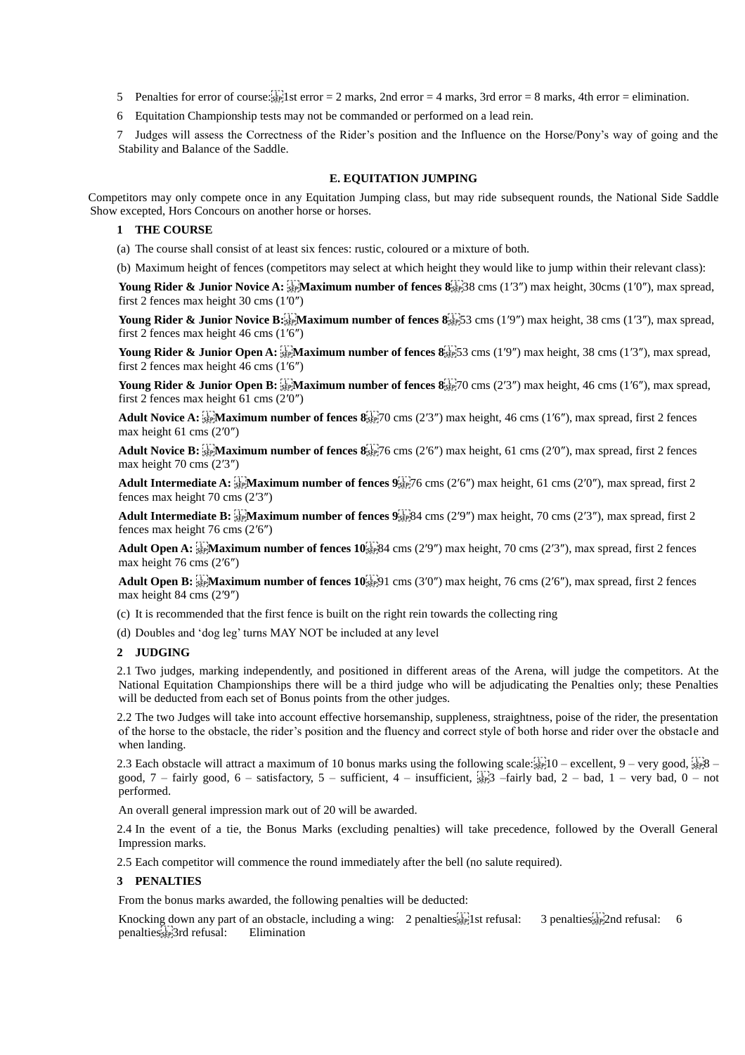5 Penalties for error of course:  $\frac{1}{2}$  st error = 2 marks, 2nd error = 4 marks, 3rd error = 8 marks, 4th error = elimination.

6 Equitation Championship tests may not be commanded or performed on a lead rein.

7 Judges will assess the Correctness of the Rider's position and the Influence on the Horse/Pony's way of going and the Stability and Balance of the Saddle.

#### **E. EQUITATION JUMPING**

Competitors may only compete once in any Equitation Jumping class, but may ride subsequent rounds, the National Side Saddle Show excepted, Hors Concours on another horse or horses.

#### **1 THE COURSE**

(a) The course shall consist of at least six fences: rustic, coloured or a mixture of both.

(b) Maximum height of fences (competitors may select at which height they would like to jump within their relevant class):

Young Rider & Junior Novice A: **Frank and mumber of fences 8**  $\frac{17}{28}$  cms (1'3") max height, 30cms (1'0"), max spread, first 2 fences max height 30 cms (1′0″)

Young Rider & Junior Novice B:<sup>T</sup><sub>1</sub> Maximum number of fences 8<sup>1</sup><sub>55</sub> 53 cms (1′9″) max height, 38 cms (1′3″), max spread, first 2 fences max height 46 cms (1′6″)

Young Rider & Junior Open A:  $\frac{1}{2}$ **Maximum number of fences 8**<sup>1</sup><sub>25</sub><sup>1</sup>/<sub>2</sub><sup>5</sup>/3 cms (1′9″) max height, 38 cms (1′3″), max spread, first 2 fences max height 46 cms (1′6″)

Young Rider & Junior Open B:  $\frac{1}{2}$  Maximum number of fences  $\frac{8!}{2}$  ( $\frac{1}{2}$  O cms (2'3") max height, 46 cms (1'6"), max spread, first 2 fences max height 61 cms (2′0″)

Adult Novice A:  $\frac{1}{2}$   $\frac{1}{2}$  Maximum number of fences  $\frac{1}{2}$   $\frac{1}{2}$  (0 cms (2′3″) max height, 46 cms (1′6″), max spread, first 2 fences max height 61 cms (2′0″)

Adult Novice B:  $\frac{1}{2}$   $\frac{1}{2}$  Maximum number of fences  $\frac{8}{2}$   $\frac{1}{2}$  forms (2′6″) max height, 61 cms (2′0″), max spread, first 2 fences max height 70 cms (2′3″)

**Adult Intermediate A:**  $\frac{1}{25}$ **Maximum number of fences 9**  $\frac{1}{25}$ 76 cms (2′6″) max height, 61 cms (2′0″), max spread, first 2 fences max height 70 cms (2′3″)

**Adult Intermediate B:**  $\frac{1}{12}$ **Maximum number of fences 9**  $\frac{1}{25}$  (84 cms (2′9″) max height, 70 cms (2′3″), max spread, first 2 fences max height 76 cms (2′6″)

**Adult Open A:**  $\frac{1}{2}$  **Maximum number of fences 10.**  $\frac{1}{2}$  **Max designally max height, 70 cms (2'3"), max spread, first 2 fences** max height 76 cms (2′6″)

**Adult Open B:**  $\frac{1}{2}$ **Maximum number of fences 10**<sup> $\frac{1}{2}$ </sup>**Coms** (3′0″) max height, 76 cms (2′6″), max spread, first 2 fences max height 84 cms (2′9″)

(c) It is recommended that the first fence is built on the right rein towards the collecting ring

(d) Doubles and 'dog leg' turns MAY NOT be included at any level

## **2 JUDGING**

2.1 Two judges, marking independently, and positioned in different areas of the Arena, will judge the competitors. At the National Equitation Championships there will be a third judge who will be adjudicating the Penalties only; these Penalties will be deducted from each set of Bonus points from the other judges.

2.2 The two Judges will take into account effective horsemanship, suppleness, straightness, poise of the rider, the presentation of the horse to the obstacle, the rider's position and the fluency and correct style of both horse and rider over the obstacle and when landing.

2.3 Each obstacle will attract a maximum of 10 bonus marks using the following scale: $s_{\text{rel}}^{\text{L}} = 10 - \text{excellent}$ , 9 – very good,  $s_{\text{rel}}^{\text{L}} = 8 - \text{excellent}$ good,  $7$  – fairly good,  $6$  – satisfactory,  $5$  – sufficient,  $4$  – insufficient,  $\frac{1}{36}$  –  $\frac{1}{3}$  – fairly bad,  $2$  – bad,  $1$  – very bad,  $0$  – not performed.

An overall general impression mark out of 20 will be awarded.

2.4 In the event of a tie, the Bonus Marks (excluding penalties) will take precedence, followed by the Overall General Impression marks.

2.5 Each competitor will commence the round immediately after the bell (no salute required).

#### **3 PENALTIES**

From the bonus marks awarded, the following penalties will be deducted:

Knocking down any part of an obstacle, including a wing: 2 penalties [1] st refusal: 3 penalties [1] 2nd refusal: 6 penalties
3rd refusal: Elimination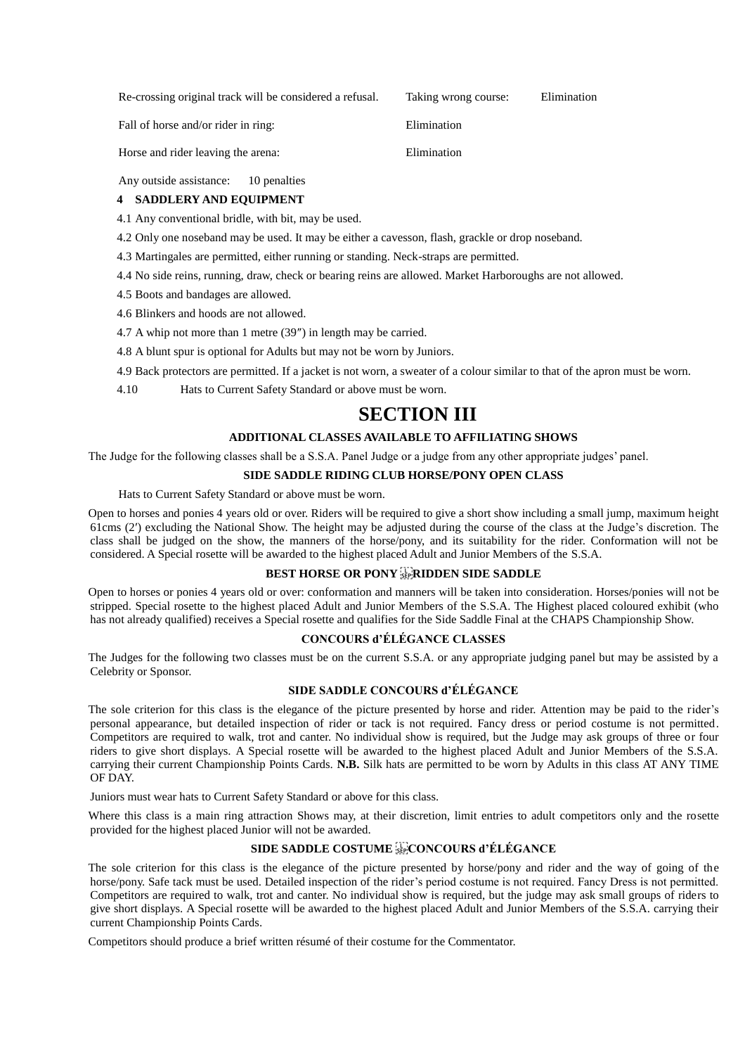Re-crossing original track will be considered a refusal. Taking wrong course: Elimination

Fall of horse and/or rider in ring: Elimination

Horse and rider leaving the arena: Elimination

Any outside assistance: 10 penalties

## **4 SADDLERY AND EQUIPMENT**

4.1 Any conventional bridle, with bit, may be used.

- 4.2 Only one noseband may be used. It may be either a cavesson, flash, grackle or drop noseband.
- 4.3 Martingales are permitted, either running or standing. Neck-straps are permitted.
- 4.4 No side reins, running, draw, check or bearing reins are allowed. Market Harboroughs are not allowed.
- 4.5 Boots and bandages are allowed.

4.6 Blinkers and hoods are not allowed.

4.7 A whip not more than 1 metre (39″) in length may be carried.

4.8 A blunt spur is optional for Adults but may not be worn by Juniors.

4.9 Back protectors are permitted. If a jacket is not worn, a sweater of a colour similar to that of the apron must be worn.

4.10 Hats to Current Safety Standard or above must be worn.

## **SECTION III**

## **ADDITIONAL CLASSES AVAILABLE TO AFFILIATING SHOWS**

The Judge for the following classes shall be a S.S.A. Panel Judge or a judge from any other appropriate judges' panel.

## **SIDE SADDLE RIDING CLUB HORSE/PONY OPEN CLASS**

Hats to Current Safety Standard or above must be worn.

Open to horses and ponies 4 years old or over. Riders will be required to give a short show including a small jump, maximum height 61cms (2′) excluding the National Show. The height may be adjusted during the course of the class at the Judge's discretion. The class shall be judged on the show, the manners of the horse/pony, and its suitability for the rider. Conformation will not be considered. A Special rosette will be awarded to the highest placed Adult and Junior Members of the S.S.A.

## BEST HORSE OR PONY **REPARIDDEN SIDE SADDLE**

Open to horses or ponies 4 years old or over: conformation and manners will be taken into consideration. Horses/ponies will not be stripped. Special rosette to the highest placed Adult and Junior Members of the S.S.A. The Highest placed coloured exhibit (who has not already qualified) receives a Special rosette and qualifies for the Side Saddle Final at the CHAPS Championship Show.

## **CONCOURS d'ÉLÉGANCE CLASSES**

The Judges for the following two classes must be on the current S.S.A. or any appropriate judging panel but may be assisted by a Celebrity or Sponsor.

## **SIDE SADDLE CONCOURS d'ÉLÉGANCE**

The sole criterion for this class is the elegance of the picture presented by horse and rider. Attention may be paid to the rider's personal appearance, but detailed inspection of rider or tack is not required. Fancy dress or period costume is not permitted. Competitors are required to walk, trot and canter. No individual show is required, but the Judge may ask groups of three or four riders to give short displays. A Special rosette will be awarded to the highest placed Adult and Junior Members of the S.S.A. carrying their current Championship Points Cards. **N.B.** Silk hats are permitted to be worn by Adults in this class AT ANY TIME OF DAY.

Juniors must wear hats to Current Safety Standard or above for this class.

Where this class is a main ring attraction Shows may, at their discretion, limit entries to adult competitors only and the rosette provided for the highest placed Junior will not be awarded.

## SIDE SADDLE COSTUME **ELECONCOURS** d'ÉLÉGANCE

The sole criterion for this class is the elegance of the picture presented by horse/pony and rider and the way of going of the horse/pony. Safe tack must be used. Detailed inspection of the rider's period costume is not required. Fancy Dress is not permitted. Competitors are required to walk, trot and canter. No individual show is required, but the judge may ask small groups of riders to give short displays. A Special rosette will be awarded to the highest placed Adult and Junior Members of the S.S.A. carrying their current Championship Points Cards.

Competitors should produce a brief written résumé of their costume for the Commentator.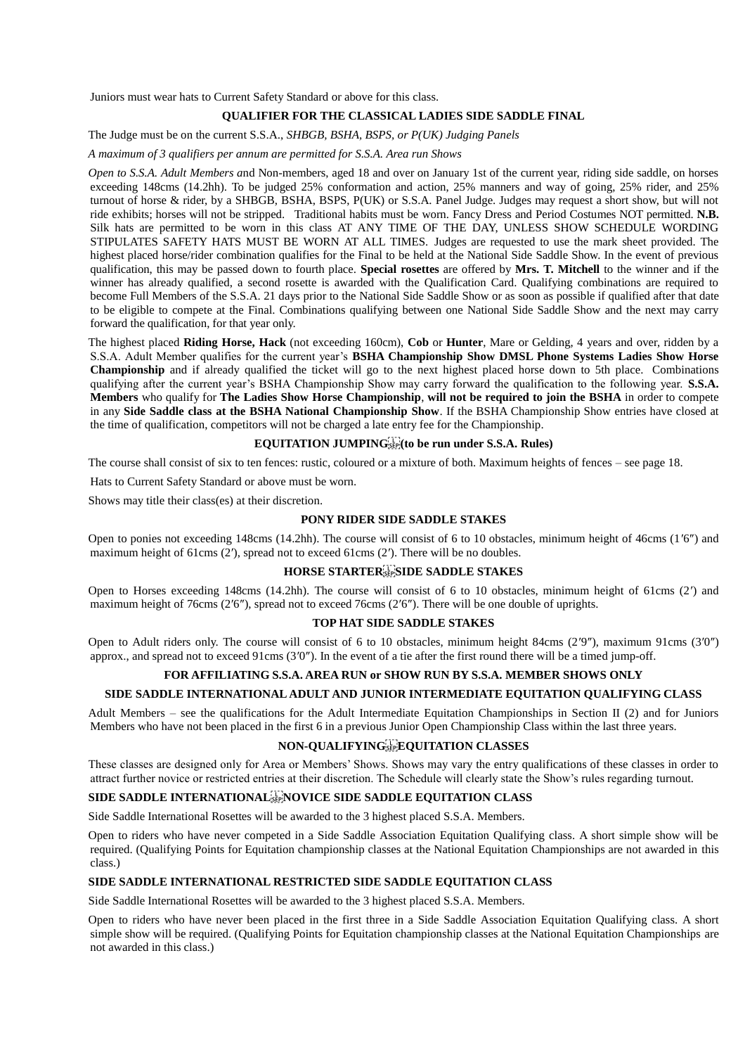Juniors must wear hats to Current Safety Standard or above for this class.

## **QUALIFIER FOR THE CLASSICAL LADIES SIDE SADDLE FINAL**

The Judge must be on the current S.S.A., *SHBGB, BSHA, BSPS, or P(UK) Judging Panels* 

#### *A maximum of 3 qualifiers per annum are permitted for S.S.A. Area run Shows*

*Open to S.S.A. Adult Members a*nd Non-members, aged 18 and over on January 1st of the current year, riding side saddle, on horses exceeding 148cms (14.2hh). To be judged 25% conformation and action, 25% manners and way of going, 25% rider, and 25% turnout of horse & rider, by a SHBGB, BSHA, BSPS, P(UK) or S.S.A. Panel Judge. Judges may request a short show, but will not ride exhibits; horses will not be stripped. Traditional habits must be worn. Fancy Dress and Period Costumes NOT permitted. **N.B.** Silk hats are permitted to be worn in this class AT ANY TIME OF THE DAY, UNLESS SHOW SCHEDULE WORDING STIPULATES SAFETY HATS MUST BE WORN AT ALL TIMES. Judges are requested to use the mark sheet provided. The highest placed horse/rider combination qualifies for the Final to be held at the National Side Saddle Show. In the event of previous qualification, this may be passed down to fourth place. **Special rosettes** are offered by **Mrs. T. Mitchell** to the winner and if the winner has already qualified, a second rosette is awarded with the Qualification Card. Qualifying combinations are required to become Full Members of the S.S.A. 21 days prior to the National Side Saddle Show or as soon as possible if qualified after that date to be eligible to compete at the Final. Combinations qualifying between one National Side Saddle Show and the next may carry forward the qualification, for that year only.

The highest placed **Riding Horse, Hack** (not exceeding 160cm), **Cob** or **Hunter**, Mare or Gelding, 4 years and over, ridden by a S.S.A. Adult Member qualifies for the current year's **BSHA Championship Show DMSL Phone Systems Ladies Show Horse Championship** and if already qualified the ticket will go to the next highest placed horse down to 5th place. Combinations qualifying after the current year's BSHA Championship Show may carry forward the qualification to the following year. **S.S.A. Members** who qualify for **The Ladies Show Horse Championship**, **will not be required to join the BSHA** in order to compete in any **Side Saddle class at the BSHA National Championship Show**. If the BSHA Championship Show entries have closed at the time of qualification, competitors will not be charged a late entry fee for the Championship.

## **EQUITATION JUMPING**<sup>[17]</sup>(to be run under S.S.A. Rules)

The course shall consist of six to ten fences: rustic, coloured or a mixture of both. Maximum heights of fences – see page 18.

Hats to Current Safety Standard or above must be worn.

Shows may title their class(es) at their discretion.

## **PONY RIDER SIDE SADDLE STAKES**

Open to ponies not exceeding 148cms (14.2hh). The course will consist of 6 to 10 obstacles, minimum height of 46cms (1′6″) and maximum height of 61cms (2'), spread not to exceed 61cms (2'). There will be no doubles.

## **HORSE STARTER
SIDE SADDLE STAKES**

Open to Horses exceeding 148cms (14.2hh). The course will consist of 6 to 10 obstacles, minimum height of 61cms (2′) and maximum height of 76cms (2′6″), spread not to exceed 76cms (2′6″). There will be one double of uprights.

## **TOP HAT SIDE SADDLE STAKES**

Open to Adult riders only. The course will consist of 6 to 10 obstacles, minimum height 84cms (2′9″), maximum 91cms (3′0″) approx., and spread not to exceed 91cms (3′0″). In the event of a tie after the first round there will be a timed jump-off.

#### **FOR AFFILIATING S.S.A. AREA RUN or SHOW RUN BY S.S.A. MEMBER SHOWS ONLY**

## **SIDE SADDLE INTERNATIONAL ADULT AND JUNIOR INTERMEDIATE EQUITATION QUALIFYING CLASS**

Adult Members – see the qualifications for the Adult Intermediate Equitation Championships in Section II (2) and for Juniors Members who have not been placed in the first 6 in a previous Junior Open Championship Class within the last three years.

## **NON-QUALIFYING
EQUITATION CLASSES**

These classes are designed only for Area or Members' Shows. Shows may vary the entry qualifications of these classes in order to attract further novice or restricted entries at their discretion. The Schedule will clearly state the Show's rules regarding turnout.

## SIDE SADDLE INTERNATIONAL<sup>ET</sup> NOVICE SIDE SADDLE EQUITATION CLASS

Side Saddle International Rosettes will be awarded to the 3 highest placed S.S.A. Members.

Open to riders who have never competed in a Side Saddle Association Equitation Qualifying class. A short simple show will be required. (Qualifying Points for Equitation championship classes at the National Equitation Championships are not awarded in this class.)

#### **SIDE SADDLE INTERNATIONAL RESTRICTED SIDE SADDLE EQUITATION CLASS**

Side Saddle International Rosettes will be awarded to the 3 highest placed S.S.A. Members.

Open to riders who have never been placed in the first three in a Side Saddle Association Equitation Qualifying class. A short simple show will be required. (Qualifying Points for Equitation championship classes at the National Equitation Championships are not awarded in this class.)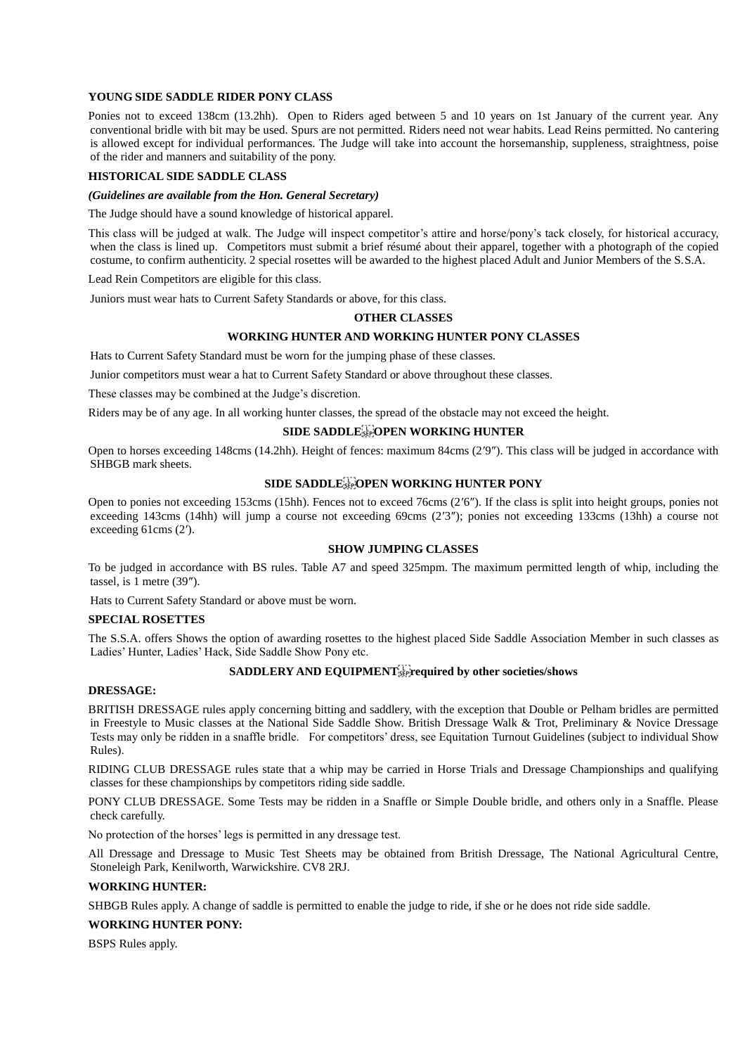## **YOUNG SIDE SADDLE RIDER PONY CLASS**

Ponies not to exceed 138cm (13.2hh). Open to Riders aged between 5 and 10 years on 1st January of the current year. Any conventional bridle with bit may be used. Spurs are not permitted. Riders need not wear habits. Lead Reins permitted. No cantering is allowed except for individual performances. The Judge will take into account the horsemanship, suppleness, straightness, poise of the rider and manners and suitability of the pony.

## **HISTORICAL SIDE SADDLE CLASS**

## *(Guidelines are available from the Hon. General Secretary)*

The Judge should have a sound knowledge of historical apparel.

This class will be judged at walk. The Judge will inspect competitor's attire and horse/pony's tack closely, for historical accuracy, when the class is lined up. Competitors must submit a brief résumé about their apparel, together with a photograph of the copied costume, to confirm authenticity. 2 special rosettes will be awarded to the highest placed Adult and Junior Members of the S.S.A.

Lead Rein Competitors are eligible for this class.

Juniors must wear hats to Current Safety Standards or above, for this class.

#### **OTHER CLASSES**

#### **WORKING HUNTER AND WORKING HUNTER PONY CLASSES**

Hats to Current Safety Standard must be worn for the jumping phase of these classes.

Junior competitors must wear a hat to Current Safety Standard or above throughout these classes.

These classes may be combined at the Judge's discretion.

Riders may be of any age. In all working hunter classes, the spread of the obstacle may not exceed the height.

#### **SIDE SADDLE GET OPEN WORKING HUNTER**

Open to horses exceeding 148cms (14.2hh). Height of fences: maximum 84cms (2′9″). This class will be judged in accordance with SHBGB mark sheets.

## **SIDE SADDLE FOR WORKING HUNTER PONY**

Open to ponies not exceeding 153cms (15hh). Fences not to exceed 76cms (2′6″). If the class is split into height groups, ponies not exceeding 143cms (14hh) will jump a course not exceeding 69cms (2′3″); ponies not exceeding 133cms (13hh) a course not exceeding 61cms (2′).

## **SHOW JUMPING CLASSES**

To be judged in accordance with BS rules. Table A7 and speed 325mpm. The maximum permitted length of whip, including the tassel, is 1 metre (39″).

Hats to Current Safety Standard or above must be worn.

#### **SPECIAL ROSETTES**

The S.S.A. offers Shows the option of awarding rosettes to the highest placed Side Saddle Association Member in such classes as Ladies' Hunter, Ladies' Hack, Side Saddle Show Pony etc.

## SADDLERY AND EQUIPMENT<sup>[1</sup>] required by other societies/shows

#### **DRESSAGE:**

BRITISH DRESSAGE rules apply concerning bitting and saddlery, with the exception that Double or Pelham bridles are permitted in Freestyle to Music classes at the National Side Saddle Show. British Dressage Walk & Trot, Preliminary & Novice Dressage Tests may only be ridden in a snaffle bridle. For competitors' dress, see Equitation Turnout Guidelines (subject to individual Show Rules).

RIDING CLUB DRESSAGE rules state that a whip may be carried in Horse Trials and Dressage Championships and qualifying classes for these championships by competitors riding side saddle.

PONY CLUB DRESSAGE. Some Tests may be ridden in a Snaffle or Simple Double bridle, and others only in a Snaffle. Please check carefully.

No protection of the horses' legs is permitted in any dressage test.

All Dressage and Dressage to Music Test Sheets may be obtained from British Dressage, The National Agricultural Centre, Stoneleigh Park, Kenilworth, Warwickshire. CV8 2RJ.

## **WORKING HUNTER:**

SHBGB Rules apply. A change of saddle is permitted to enable the judge to ride, if she or he does not ride side saddle.

## **WORKING HUNTER PONY:**

BSPS Rules apply.